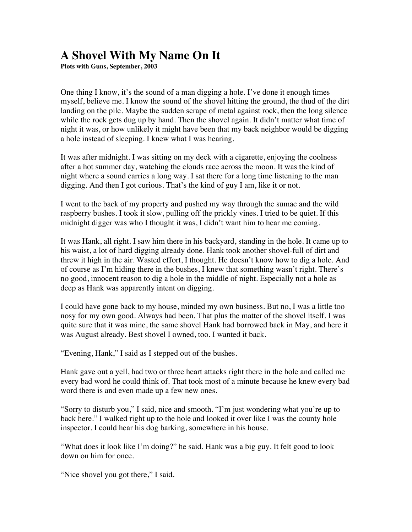## **A Shovel With My Name On It**

**Plots with Guns, September, 2003**

One thing I know, it's the sound of a man digging a hole. I've done it enough times myself, believe me. I know the sound of the shovel hitting the ground, the thud of the dirt landing on the pile. Maybe the sudden scrape of metal against rock, then the long silence while the rock gets dug up by hand. Then the shovel again. It didn't matter what time of night it was, or how unlikely it might have been that my back neighbor would be digging a hole instead of sleeping. I knew what I was hearing.

It was after midnight. I was sitting on my deck with a cigarette, enjoying the coolness after a hot summer day, watching the clouds race across the moon. It was the kind of night where a sound carries a long way. I sat there for a long time listening to the man digging. And then I got curious. That's the kind of guy I am, like it or not.

I went to the back of my property and pushed my way through the sumac and the wild raspberry bushes. I took it slow, pulling off the prickly vines. I tried to be quiet. If this midnight digger was who I thought it was, I didn't want him to hear me coming.

It was Hank, all right. I saw him there in his backyard, standing in the hole. It came up to his waist, a lot of hard digging already done. Hank took another shovel-full of dirt and threw it high in the air. Wasted effort, I thought. He doesn't know how to dig a hole. And of course as I'm hiding there in the bushes, I knew that something wasn't right. There's no good, innocent reason to dig a hole in the middle of night. Especially not a hole as deep as Hank was apparently intent on digging.

I could have gone back to my house, minded my own business. But no, I was a little too nosy for my own good. Always had been. That plus the matter of the shovel itself. I was quite sure that it was mine, the same shovel Hank had borrowed back in May, and here it was August already. Best shovel I owned, too. I wanted it back.

"Evening, Hank," I said as I stepped out of the bushes.

Hank gave out a yell, had two or three heart attacks right there in the hole and called me every bad word he could think of. That took most of a minute because he knew every bad word there is and even made up a few new ones.

"Sorry to disturb you," I said, nice and smooth. "I'm just wondering what you're up to back here." I walked right up to the hole and looked it over like I was the county hole inspector. I could hear his dog barking, somewhere in his house.

"What does it look like I'm doing?" he said. Hank was a big guy. It felt good to look down on him for once.

"Nice shovel you got there," I said.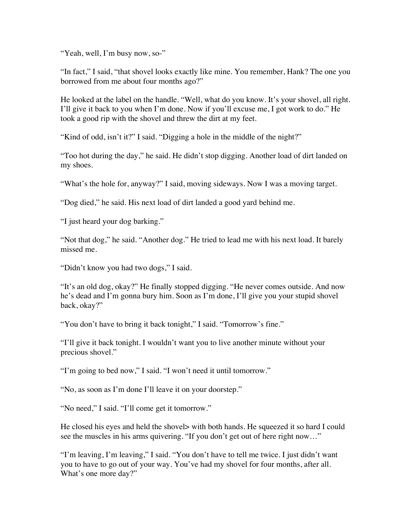"Yeah, well, I'm busy now, so-"

"In fact," I said, "that shovel looks exactly like mine. You remember, Hank? The one you borrowed from me about four months ago?"

He looked at the label on the handle. "Well, what do you know. It's your shovel, all right. I'll give it back to you when I'm done. Now if you'll excuse me, I got work to do." He took a good rip with the shovel and threw the dirt at my feet.

"Kind of odd, isn't it?" I said. "Digging a hole in the middle of the night?"

"Too hot during the day," he said. He didn't stop digging. Another load of dirt landed on my shoes.

"What's the hole for, anyway?" I said, moving sideways. Now I was a moving target.

"Dog died," he said. His next load of dirt landed a good yard behind me.

"I just heard your dog barking."

"Not that dog," he said. "Another dog." He tried to lead me with his next load. It barely missed me.

"Didn't know you had two dogs," I said.

"It's an old dog, okay?" He finally stopped digging. "He never comes outside. And now he's dead and I'm gonna bury him. Soon as I'm done, I'll give you your stupid shovel back, okay?"

"You don't have to bring it back tonight," I said. "Tomorrow's fine."

"I'll give it back tonight. I wouldn't want you to live another minute without your precious shovel."

"I'm going to bed now," I said. "I won't need it until tomorrow."

"No, as soon as I'm done I'll leave it on your doorstep."

"No need," I said. "I'll come get it tomorrow."

He closed his eyes and held the shovel is with both hands. He squeezed it so hard I could see the muscles in his arms quivering. "If you don't get out of here right now…"

"I'm leaving, I'm leaving," I said. "You don't have to tell me twice. I just didn't want you to have to go out of your way. You've had my shovel for four months, after all. What's one more day?"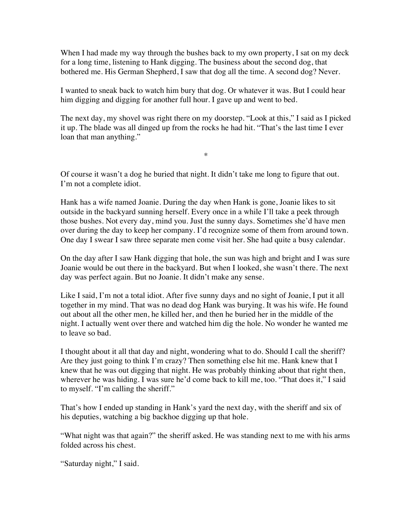When I had made my way through the bushes back to my own property, I sat on my deck for a long time, listening to Hank digging. The business about the second dog, that bothered me. His German Shepherd, I saw that dog all the time. A second dog? Never.

I wanted to sneak back to watch him bury that dog. Or whatever it was. But I could hear him digging and digging for another full hour. I gave up and went to bed.

The next day, my shovel was right there on my doorstep. "Look at this," I said as I picked it up. The blade was all dinged up from the rocks he had hit. "That's the last time I ever loan that man anything."

\*

Of course it wasn't a dog he buried that night. It didn't take me long to figure that out. I'm not a complete idiot.

Hank has a wife named Joanie. During the day when Hank is gone, Joanie likes to sit outside in the backyard sunning herself. Every once in a while I'll take a peek through those bushes. Not every day, mind you. Just the sunny days. Sometimes she'd have men over during the day to keep her company. I'd recognize some of them from around town. One day I swear I saw three separate men come visit her. She had quite a busy calendar.

On the day after I saw Hank digging that hole, the sun was high and bright and I was sure Joanie would be out there in the backyard. But when I looked, she wasn't there. The next day was perfect again. But no Joanie. It didn't make any sense.

Like I said, I'm not a total idiot. After five sunny days and no sight of Joanie, I put it all together in my mind. That was no dead dog Hank was burying. It was his wife. He found out about all the other men, he killed her, and then he buried her in the middle of the night. I actually went over there and watched him dig the hole. No wonder he wanted me to leave so bad.

I thought about it all that day and night, wondering what to do. Should I call the sheriff? Are they just going to think I'm crazy? Then something else hit me. Hank knew that I knew that he was out digging that night. He was probably thinking about that right then, wherever he was hiding. I was sure he'd come back to kill me, too. "That does it," I said to myself. "I'm calling the sheriff."

That's how I ended up standing in Hank's yard the next day, with the sheriff and six of his deputies, watching a big backhoe digging up that hole.

"What night was that again?" the sheriff asked. He was standing next to me with his arms folded across his chest.

"Saturday night," I said.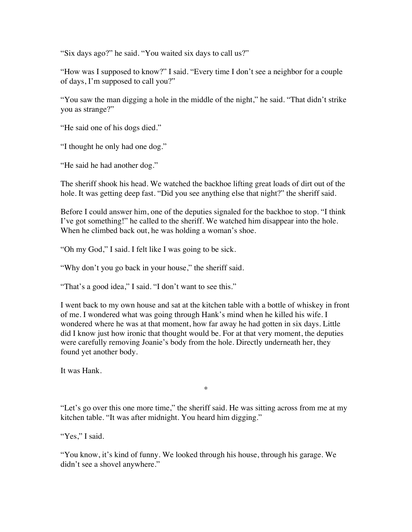"Six days ago?" he said. "You waited six days to call us?"

"How was I supposed to know?" I said. "Every time I don't see a neighbor for a couple of days, I'm supposed to call you?"

"You saw the man digging a hole in the middle of the night," he said. "That didn't strike you as strange?"

"He said one of his dogs died."

"I thought he only had one dog."

"He said he had another dog."

The sheriff shook his head. We watched the backhoe lifting great loads of dirt out of the hole. It was getting deep fast. "Did you see anything else that night?" the sheriff said.

Before I could answer him, one of the deputies signaled for the backhoe to stop. "I think I've got something!" he called to the sheriff. We watched him disappear into the hole. When he climbed back out, he was holding a woman's shoe.

"Oh my God," I said. I felt like I was going to be sick.

"Why don't you go back in your house," the sheriff said.

"That's a good idea," I said. "I don't want to see this."

I went back to my own house and sat at the kitchen table with a bottle of whiskey in front of me. I wondered what was going through Hank's mind when he killed his wife. I wondered where he was at that moment, how far away he had gotten in six days. Little did I know just how ironic that thought would be. For at that very moment, the deputies were carefully removing Joanie's body from the hole. Directly underneath her, they found yet another body.

It was Hank.

\*

"Let's go over this one more time," the sheriff said. He was sitting across from me at my kitchen table. "It was after midnight. You heard him digging."

"Yes," I said.

"You know, it's kind of funny. We looked through his house, through his garage. We didn't see a shovel anywhere."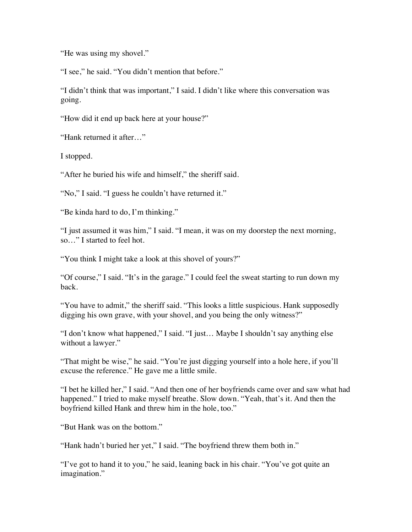"He was using my shovel."

"I see," he said. "You didn't mention that before."

"I didn't think that was important," I said. I didn't like where this conversation was going.

"How did it end up back here at your house?"

"Hank returned it after…"

I stopped.

"After he buried his wife and himself," the sheriff said.

"No," I said. "I guess he couldn't have returned it."

"Be kinda hard to do, I'm thinking."

"I just assumed it was him," I said. "I mean, it was on my doorstep the next morning, so…" I started to feel hot.

"You think I might take a look at this shovel of yours?"

"Of course," I said. "It's in the garage." I could feel the sweat starting to run down my back.

"You have to admit," the sheriff said. "This looks a little suspicious. Hank supposedly digging his own grave, with your shovel, and you being the only witness?"

"I don't know what happened," I said. "I just… Maybe I shouldn't say anything else without a lawyer."

"That might be wise," he said. "You're just digging yourself into a hole here, if you'll excuse the reference." He gave me a little smile.

"I bet he killed her," I said. "And then one of her boyfriends came over and saw what had happened." I tried to make myself breathe. Slow down. "Yeah, that's it. And then the boyfriend killed Hank and threw him in the hole, too."

"But Hank was on the bottom."

"Hank hadn't buried her yet," I said. "The boyfriend threw them both in."

"I've got to hand it to you," he said, leaning back in his chair. "You've got quite an imagination."